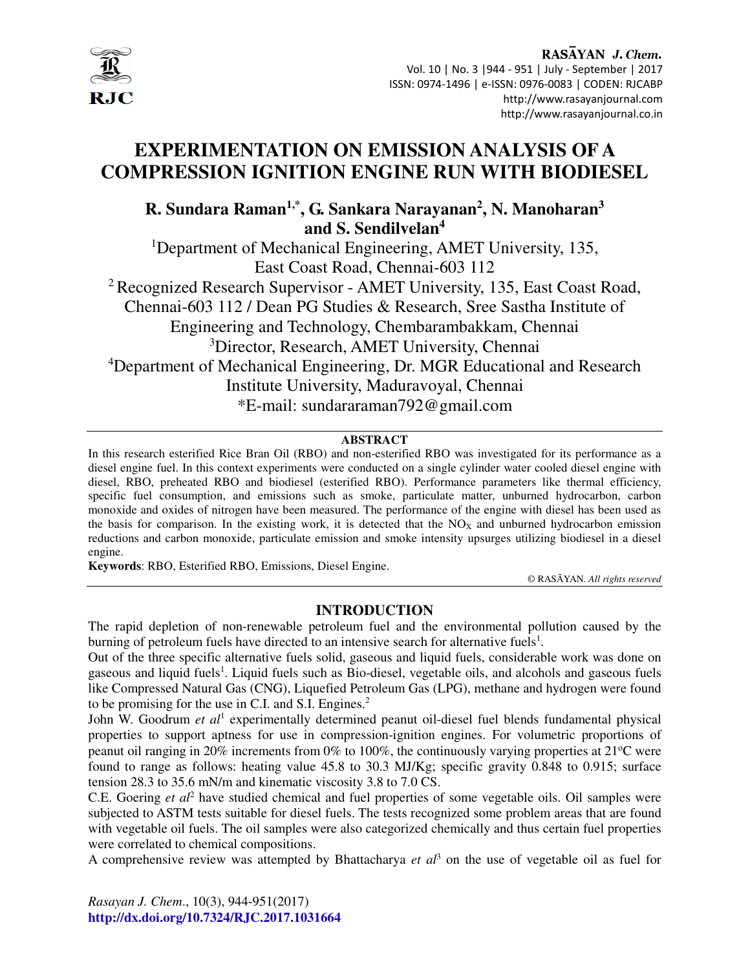

# **EXPERIMENTATION ON EMISSION ANALYSIS OF A COMPRESSION IGNITION ENGINE RUN WITH BIODIESEL**

# **R. Sundara Raman1,\*, G. Sankara Narayanan<sup>2</sup> , N. Manoharan<sup>3</sup> and S. Sendilvelan<sup>4</sup>**

<sup>1</sup>Department of Mechanical Engineering, AMET University, 135, East Coast Road, Chennai-603 112 <sup>2</sup> Recognized Research Supervisor - AMET University, 135, East Coast Road, Chennai-603 112 / Dean PG Studies & Research, Sree Sastha Institute of Engineering and Technology, Chembarambakkam, Chennai <sup>3</sup>Director, Research, AMET University, Chennai <sup>4</sup>Department of Mechanical Engineering, Dr. MGR Educational and Research Institute University, Maduravoyal, Chennai \*E-mail: sundararaman792@gmail.com

# **ABSTRACT**

In this research esterified Rice Bran Oil (RBO) and non-esterified RBO was investigated for its performance as a diesel engine fuel. In this context experiments were conducted on a single cylinder water cooled diesel engine with diesel, RBO, preheated RBO and biodiesel (esterified RBO). Performance parameters like thermal efficiency, specific fuel consumption, and emissions such as smoke, particulate matter, unburned hydrocarbon, carbon monoxide and oxides of nitrogen have been measured. The performance of the engine with diesel has been used as the basis for comparison. In the existing work, it is detected that the  $NO<sub>X</sub>$  and unburned hydrocarbon emission reductions and carbon monoxide, particulate emission and smoke intensity upsurges utilizing biodiesel in a diesel engine.

**Keywords**: RBO, Esterified RBO, Emissions, Diesel Engine.

© RASĀYAN. *All rights reserved*

# **INTRODUCTION**

The rapid depletion of non-renewable petroleum fuel and the environmental pollution caused by the burning of petroleum fuels have directed to an intensive search for alternative fuels<sup>1</sup>.

Out of the three specific alternative fuels solid, gaseous and liquid fuels, considerable work was done on gaseous and liquid fuels<sup>1</sup>. Liquid fuels such as Bio-diesel, vegetable oils, and alcohols and gaseous fuels like Compressed Natural Gas (CNG), Liquefied Petroleum Gas (LPG), methane and hydrogen were found to be promising for the use in C.I. and S.I. Engines.<sup>2</sup>

John W. Goodrum et al<sup>1</sup> experimentally determined peanut oil-diesel fuel blends fundamental physical properties to support aptness for use in compression-ignition engines. For volumetric proportions of peanut oil ranging in 20% increments from 0% to 100%, the continuously varying properties at  $21^{\circ}$ C were found to range as follows: heating value 45.8 to 30.3 MJ/Kg; specific gravity 0.848 to 0.915; surface tension 28.3 to 35.6 mN/m and kinematic viscosity 3.8 to 7.0 CS.

C.E. Goering et al<sup>2</sup> have studied chemical and fuel properties of some vegetable oils. Oil samples were subjected to ASTM tests suitable for diesel fuels. The tests recognized some problem areas that are found with vegetable oil fuels. The oil samples were also categorized chemically and thus certain fuel properties were correlated to chemical compositions.

A comprehensive review was attempted by Bhattacharya *et al*<sup>3</sup> on the use of vegetable oil as fuel for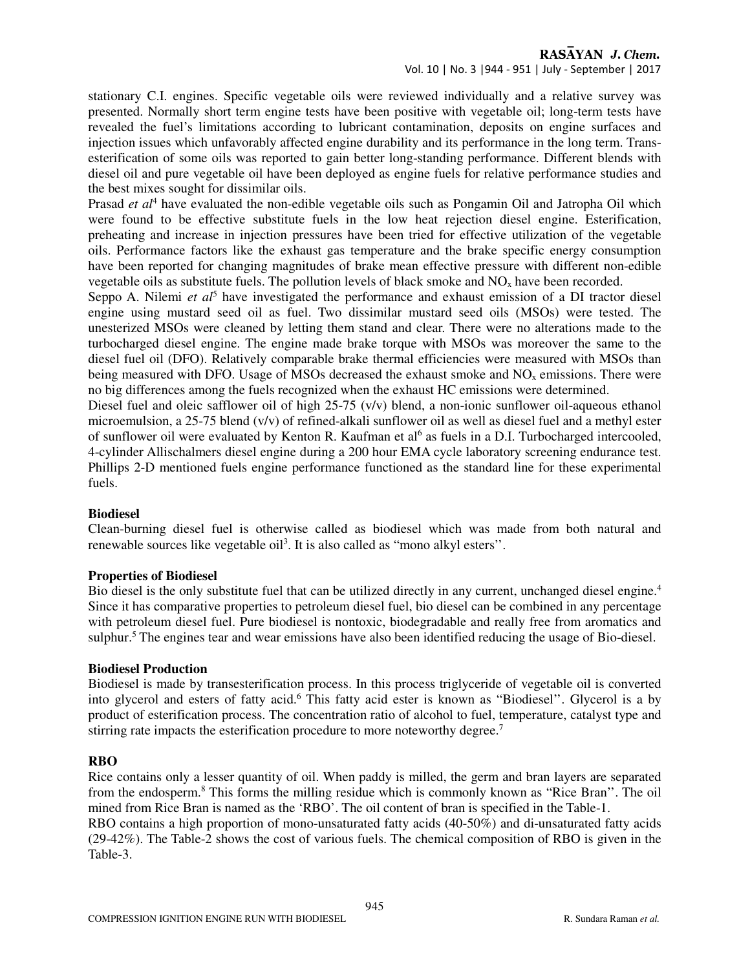# RASAYAN J. Chem.

Vol. 10 | No. 3 |944 - 951 | July - September | 2017

stationary C.I. engines. Specific vegetable oils were reviewed individually and a relative survey was presented. Normally short term engine tests have been positive with vegetable oil; long-term tests have revealed the fuel's limitations according to lubricant contamination, deposits on engine surfaces and injection issues which unfavorably affected engine durability and its performance in the long term. Transesterification of some oils was reported to gain better long-standing performance. Different blends with diesel oil and pure vegetable oil have been deployed as engine fuels for relative performance studies and the best mixes sought for dissimilar oils.

Prasad *et al*<sup>4</sup> have evaluated the non-edible vegetable oils such as Pongamin Oil and Jatropha Oil which were found to be effective substitute fuels in the low heat rejection diesel engine. Esterification, preheating and increase in injection pressures have been tried for effective utilization of the vegetable oils. Performance factors like the exhaust gas temperature and the brake specific energy consumption have been reported for changing magnitudes of brake mean effective pressure with different non-edible vegetable oils as substitute fuels. The pollution levels of black smoke and  $NO<sub>x</sub>$  have been recorded.

Seppo A. Nilemi *et al*<sup>5</sup> have investigated the performance and exhaust emission of a DI tractor diesel engine using mustard seed oil as fuel. Two dissimilar mustard seed oils (MSOs) were tested. The unesterized MSOs were cleaned by letting them stand and clear. There were no alterations made to the turbocharged diesel engine. The engine made brake torque with MSOs was moreover the same to the diesel fuel oil (DFO). Relatively comparable brake thermal efficiencies were measured with MSOs than being measured with DFO. Usage of MSOs decreased the exhaust smoke and  $NO<sub>x</sub>$  emissions. There were no big differences among the fuels recognized when the exhaust HC emissions were determined.

Diesel fuel and oleic safflower oil of high 25-75 (v/v) blend, a non-ionic sunflower oil-aqueous ethanol microemulsion, a 25-75 blend (v/v) of refined-alkali sunflower oil as well as diesel fuel and a methyl ester of sunflower oil were evaluated by Kenton R. Kaufman et al<sup>6</sup> as fuels in a D.I. Turbocharged intercooled, 4-cylinder Allischalmers diesel engine during a 200 hour EMA cycle laboratory screening endurance test. Phillips 2-D mentioned fuels engine performance functioned as the standard line for these experimental fuels.

# **Biodiesel**

Clean-burning diesel fuel is otherwise called as biodiesel which was made from both natural and renewable sources like vegetable oil<sup>3</sup>. It is also called as "mono alkyl esters".

#### **Properties of Biodiesel**

Bio diesel is the only substitute fuel that can be utilized directly in any current, unchanged diesel engine.<sup>4</sup> Since it has comparative properties to petroleum diesel fuel, bio diesel can be combined in any percentage with petroleum diesel fuel. Pure biodiesel is nontoxic, biodegradable and really free from aromatics and sulphur.<sup>5</sup> The engines tear and wear emissions have also been identified reducing the usage of Bio-diesel.

#### **Biodiesel Production**

Biodiesel is made by transesterification process. In this process triglyceride of vegetable oil is converted into glycerol and esters of fatty acid.<sup>6</sup> This fatty acid ester is known as "Biodiesel". Glycerol is a by product of esterification process. The concentration ratio of alcohol to fuel, temperature, catalyst type and stirring rate impacts the esterification procedure to more noteworthy degree.<sup>7</sup>

#### **RBO**

Rice contains only a lesser quantity of oil. When paddy is milled, the germ and bran layers are separated from the endosperm.<sup>8</sup> This forms the milling residue which is commonly known as "Rice Bran". The oil mined from Rice Bran is named as the 'RBO'. The oil content of bran is specified in the Table-1.

RBO contains a high proportion of mono-unsaturated fatty acids (40-50%) and di-unsaturated fatty acids (29-42%). The Table-2 shows the cost of various fuels. The chemical composition of RBO is given in the Table-3.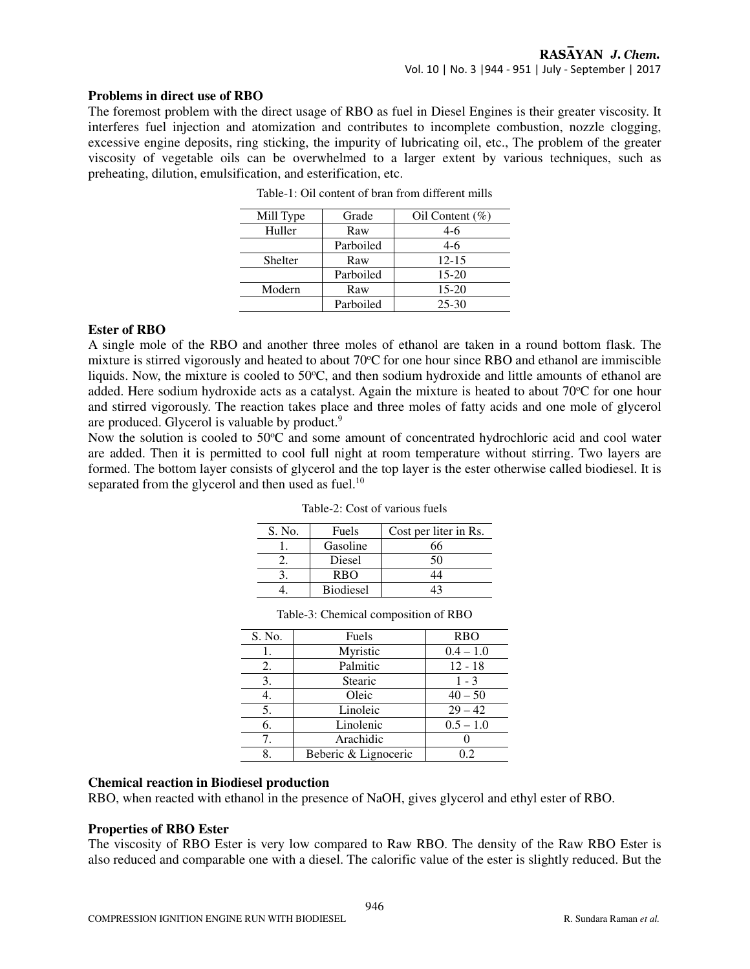#### **Problems in direct use of RBO**

The foremost problem with the direct usage of RBO as fuel in Diesel Engines is their greater viscosity. It interferes fuel injection and atomization and contributes to incomplete combustion, nozzle clogging, excessive engine deposits, ring sticking, the impurity of lubricating oil, etc., The problem of the greater viscosity of vegetable oils can be overwhelmed to a larger extent by various techniques, such as preheating, dilution, emulsification, and esterification, etc.

| Mill Type | Grade     | Oil Content $(\% )$ |
|-----------|-----------|---------------------|
| Huller    | Raw       | 4-6                 |
|           | Parboiled | 4-6                 |
| Shelter   | Raw       | $12 - 15$           |
|           | Parboiled | $15-20$             |
| Modern    | Raw       | $15-20$             |
|           | Parboiled | $25 - 30$           |

Table-1: Oil content of bran from different mills

#### **Ester of RBO**

A single mole of the RBO and another three moles of ethanol are taken in a round bottom flask. The mixture is stirred vigorously and heated to about 70°C for one hour since RBO and ethanol are immiscible liquids. Now, the mixture is cooled to  $50^{\circ}$ C, and then sodium hydroxide and little amounts of ethanol are added. Here sodium hydroxide acts as a catalyst. Again the mixture is heated to about 70°C for one hour and stirred vigorously. The reaction takes place and three moles of fatty acids and one mole of glycerol are produced. Glycerol is valuable by product.<sup>9</sup>

Now the solution is cooled to 50°C and some amount of concentrated hydrochloric acid and cool water are added. Then it is permitted to cool full night at room temperature without stirring. Two layers are formed. The bottom layer consists of glycerol and the top layer is the ester otherwise called biodiesel. It is separated from the glycerol and then used as fuel.<sup>10</sup>

| S. No. | Fuels            | Cost per liter in Rs. |
|--------|------------------|-----------------------|
|        | Gasoline         | 66                    |
|        | Diesel           | 50                    |
|        | <b>RBO</b>       |                       |
|        | <b>Biodiesel</b> |                       |

Table-2: Cost of various fuels

|                                      |          | <b>Biodiesel</b> | 13          |  |  |  |  |
|--------------------------------------|----------|------------------|-------------|--|--|--|--|
| Table-3: Chemical composition of RBO |          |                  |             |  |  |  |  |
| S. No.                               | Fuels    |                  | <b>RBO</b>  |  |  |  |  |
|                                      | Myristic |                  | $0.4 - 1.0$ |  |  |  |  |
| 2.                                   | Palmitic |                  | $12 - 18$   |  |  |  |  |
| 3.                                   | Stearic  |                  | $1 - 3$     |  |  |  |  |
|                                      | Oleic    |                  | $40 - 50$   |  |  |  |  |

5. Linoleic 29 – 42 6. Linolenic 0.5 – 1.0 7. Arachidic 0 8. Beberic & Lignoceric 0.2

#### **Chemical reaction in Biodiesel production**

RBO, when reacted with ethanol in the presence of NaOH, gives glycerol and ethyl ester of RBO.

#### **Properties of RBO Ester**

The viscosity of RBO Ester is very low compared to Raw RBO. The density of the Raw RBO Ester is also reduced and comparable one with a diesel. The calorific value of the ester is slightly reduced. But the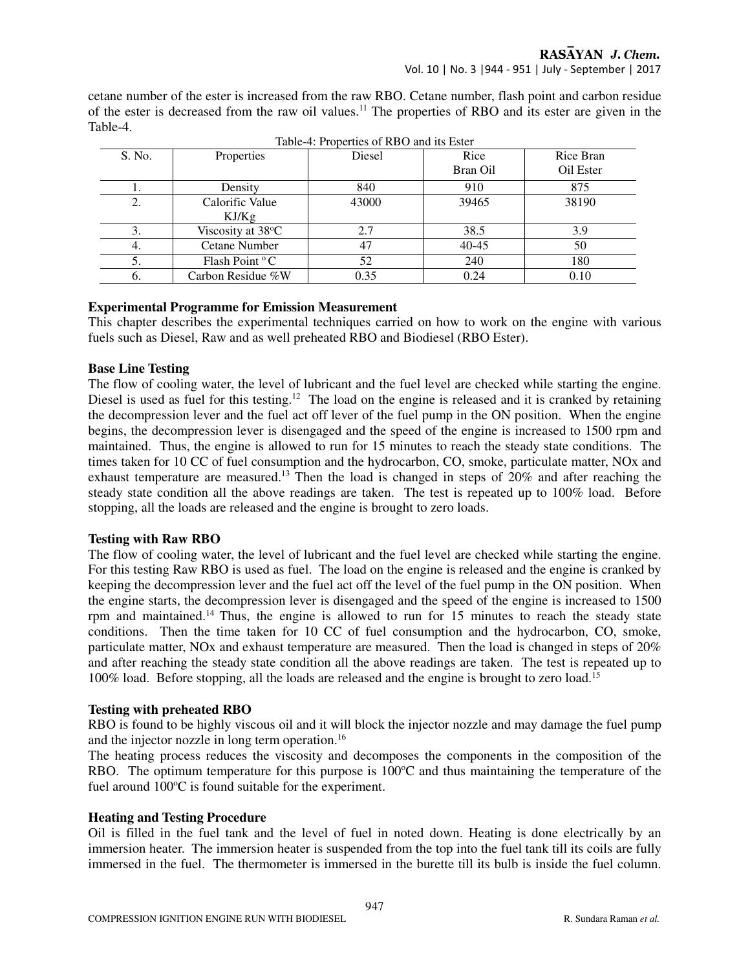cetane number of the ester is increased from the raw RBO. Cetane number, flash point and carbon residue of the ester is decreased from the raw oil values.<sup>11</sup> The properties of RBO and its ester are given in the Table-4.

|        | Table-4: Properties of RBO and its Ester |        |           |           |  |  |  |  |
|--------|------------------------------------------|--------|-----------|-----------|--|--|--|--|
| S. No. | Properties                               | Diesel | Rice      | Rice Bran |  |  |  |  |
|        |                                          |        | Bran Oil  | Oil Ester |  |  |  |  |
|        | Density                                  | 840    | 910       | 875       |  |  |  |  |
| 2.     | Calorific Value                          | 43000  | 39465     | 38190     |  |  |  |  |
|        | KJ/Kg                                    |        |           |           |  |  |  |  |
| 3.     | Viscosity at 38°C                        | 2.7    | 38.5      | 3.9       |  |  |  |  |
| 4.     | Cetane Number                            | 47     | $40 - 45$ | 50        |  |  |  |  |
|        | Flash Point °C                           | 52     | 240       | 180       |  |  |  |  |
| O.     | Carbon Residue %W                        | 0.35   | 0.24      | 0.10      |  |  |  |  |

# **Experimental Programme for Emission Measurement**

This chapter describes the experimental techniques carried on how to work on the engine with various fuels such as Diesel, Raw and as well preheated RBO and Biodiesel (RBO Ester).

#### **Base Line Testing**

The flow of cooling water, the level of lubricant and the fuel level are checked while starting the engine. Diesel is used as fuel for this testing.<sup>12</sup> The load on the engine is released and it is cranked by retaining the decompression lever and the fuel act off lever of the fuel pump in the ON position. When the engine begins, the decompression lever is disengaged and the speed of the engine is increased to 1500 rpm and maintained. Thus, the engine is allowed to run for 15 minutes to reach the steady state conditions. The times taken for 10 CC of fuel consumption and the hydrocarbon, CO, smoke, particulate matter, NOx and exhaust temperature are measured.<sup>13</sup> Then the load is changed in steps of 20% and after reaching the steady state condition all the above readings are taken. The test is repeated up to 100% load. Before stopping, all the loads are released and the engine is brought to zero loads.

# **Testing with Raw RBO**

The flow of cooling water, the level of lubricant and the fuel level are checked while starting the engine. For this testing Raw RBO is used as fuel. The load on the engine is released and the engine is cranked by keeping the decompression lever and the fuel act off the level of the fuel pump in the ON position. When the engine starts, the decompression lever is disengaged and the speed of the engine is increased to 1500 rpm and maintained.<sup>14</sup> Thus, the engine is allowed to run for 15 minutes to reach the steady state conditions. Then the time taken for 10 CC of fuel consumption and the hydrocarbon, CO, smoke, particulate matter, NOx and exhaust temperature are measured. Then the load is changed in steps of 20% and after reaching the steady state condition all the above readings are taken. The test is repeated up to 100% load. Before stopping, all the loads are released and the engine is brought to zero load.<sup>15</sup>

# **Testing with preheated RBO**

RBO is found to be highly viscous oil and it will block the injector nozzle and may damage the fuel pump and the injector nozzle in long term operation.<sup>16</sup>

The heating process reduces the viscosity and decomposes the components in the composition of the RBO. The optimum temperature for this purpose is  $100^{\circ}$ C and thus maintaining the temperature of the fuel around  $100^{\circ}$ C is found suitable for the experiment.

# **Heating and Testing Procedure**

Oil is filled in the fuel tank and the level of fuel in noted down. Heating is done electrically by an immersion heater. The immersion heater is suspended from the top into the fuel tank till its coils are fully immersed in the fuel. The thermometer is immersed in the burette till its bulb is inside the fuel column.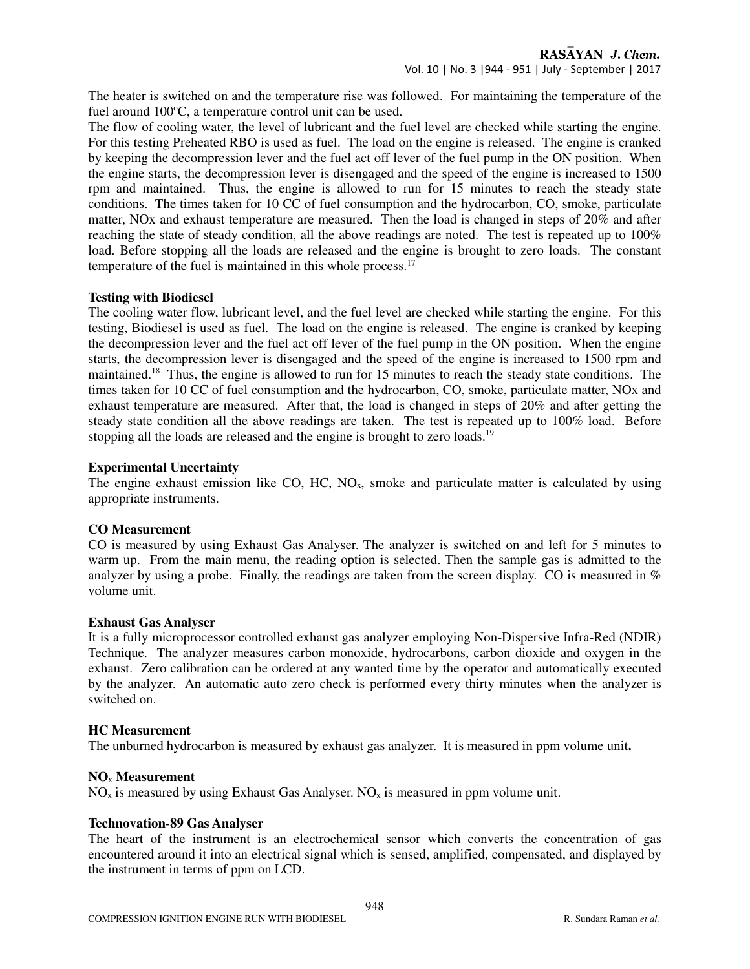The heater is switched on and the temperature rise was followed. For maintaining the temperature of the fuel around  $100^{\circ}$ C, a temperature control unit can be used.

The flow of cooling water, the level of lubricant and the fuel level are checked while starting the engine. For this testing Preheated RBO is used as fuel. The load on the engine is released. The engine is cranked by keeping the decompression lever and the fuel act off lever of the fuel pump in the ON position. When the engine starts, the decompression lever is disengaged and the speed of the engine is increased to 1500 rpm and maintained. Thus, the engine is allowed to run for 15 minutes to reach the steady state conditions. The times taken for 10 CC of fuel consumption and the hydrocarbon, CO, smoke, particulate matter, NOx and exhaust temperature are measured. Then the load is changed in steps of 20% and after reaching the state of steady condition, all the above readings are noted. The test is repeated up to 100% load. Before stopping all the loads are released and the engine is brought to zero loads. The constant temperature of the fuel is maintained in this whole process.<sup>17</sup>

#### **Testing with Biodiesel**

The cooling water flow, lubricant level, and the fuel level are checked while starting the engine. For this testing, Biodiesel is used as fuel. The load on the engine is released. The engine is cranked by keeping the decompression lever and the fuel act off lever of the fuel pump in the ON position. When the engine starts, the decompression lever is disengaged and the speed of the engine is increased to 1500 rpm and maintained.<sup>18</sup> Thus, the engine is allowed to run for 15 minutes to reach the steady state conditions. The times taken for 10 CC of fuel consumption and the hydrocarbon, CO, smoke, particulate matter, NOx and exhaust temperature are measured. After that, the load is changed in steps of 20% and after getting the steady state condition all the above readings are taken. The test is repeated up to 100% load. Before stopping all the loads are released and the engine is brought to zero loads.<sup>19</sup>

#### **Experimental Uncertainty**

The engine exhaust emission like CO, HC,  $NO<sub>x</sub>$ , smoke and particulate matter is calculated by using appropriate instruments.

# **CO Measurement**

CO is measured by using Exhaust Gas Analyser. The analyzer is switched on and left for 5 minutes to warm up. From the main menu, the reading option is selected. Then the sample gas is admitted to the analyzer by using a probe. Finally, the readings are taken from the screen display. CO is measured in % volume unit.

# **Exhaust Gas Analyser**

It is a fully microprocessor controlled exhaust gas analyzer employing Non-Dispersive Infra-Red (NDIR) Technique. The analyzer measures carbon monoxide, hydrocarbons, carbon dioxide and oxygen in the exhaust. Zero calibration can be ordered at any wanted time by the operator and automatically executed by the analyzer. An automatic auto zero check is performed every thirty minutes when the analyzer is switched on.

#### **HC Measurement**

The unburned hydrocarbon is measured by exhaust gas analyzer. It is measured in ppm volume unit**.** 

#### **NO**x **Measurement**

 $NO<sub>x</sub>$  is measured by using Exhaust Gas Analyser.  $NO<sub>x</sub>$  is measured in ppm volume unit.

# **Technovation-89 Gas Analyser**

The heart of the instrument is an electrochemical sensor which converts the concentration of gas encountered around it into an electrical signal which is sensed, amplified, compensated, and displayed by the instrument in terms of ppm on LCD.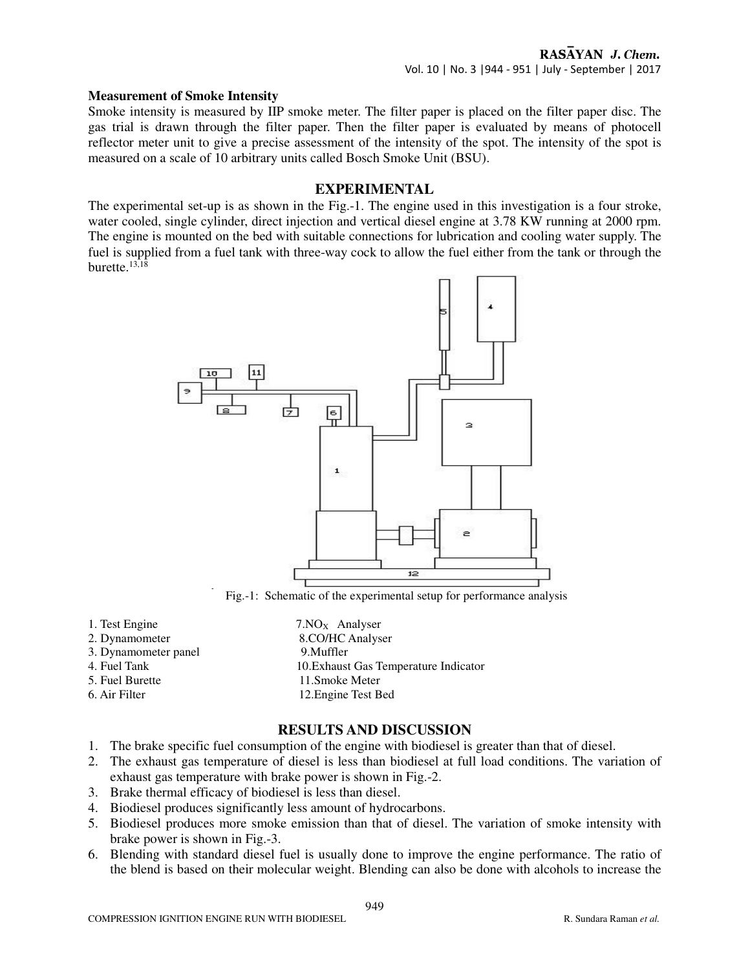#### **Measurement of Smoke Intensity**

Smoke intensity is measured by IIP smoke meter. The filter paper is placed on the filter paper disc. The gas trial is drawn through the filter paper. Then the filter paper is evaluated by means of photocell reflector meter unit to give a precise assessment of the intensity of the spot. The intensity of the spot is measured on a scale of 10 arbitrary units called Bosch Smoke Unit (BSU).

# **EXPERIMENTAL**

The experimental set-up is as shown in the Fig.-1. The engine used in this investigation is a four stroke, water cooled, single cylinder, direct injection and vertical diesel engine at 3.78 KW running at 2000 rpm. The engine is mounted on the bed with suitable connections for lubrication and cooling water supply. The fuel is supplied from a fuel tank with three-way cock to allow the fuel either from the tank or through the burette.13,18



Fig.-1: Schematic of the experimental setup for performance analysis

- 1. Test Engine  $7.NO<sub>x</sub>$  Analyser
- 
- 3. Dynamometer panel 9.Muffler
- 
- 
- 

2. Dynamometer 8.CO/HC Analyser 4. Fuel Tank 10.Exhaust Gas Temperature Indicator 5. Fuel Burette 11.Smoke Meter 6. Air Filter 12.Engine Test Bed

# **RESULTS AND DISCUSSION**

- 1. The brake specific fuel consumption of the engine with biodiesel is greater than that of diesel.
- 2. The exhaust gas temperature of diesel is less than biodiesel at full load conditions. The variation of exhaust gas temperature with brake power is shown in Fig.-2.
- 3. Brake thermal efficacy of biodiesel is less than diesel.
- 4. Biodiesel produces significantly less amount of hydrocarbons.
- 5. Biodiesel produces more smoke emission than that of diesel. The variation of smoke intensity with brake power is shown in Fig.-3.
- 6. Blending with standard diesel fuel is usually done to improve the engine performance. The ratio of the blend is based on their molecular weight. Blending can also be done with alcohols to increase the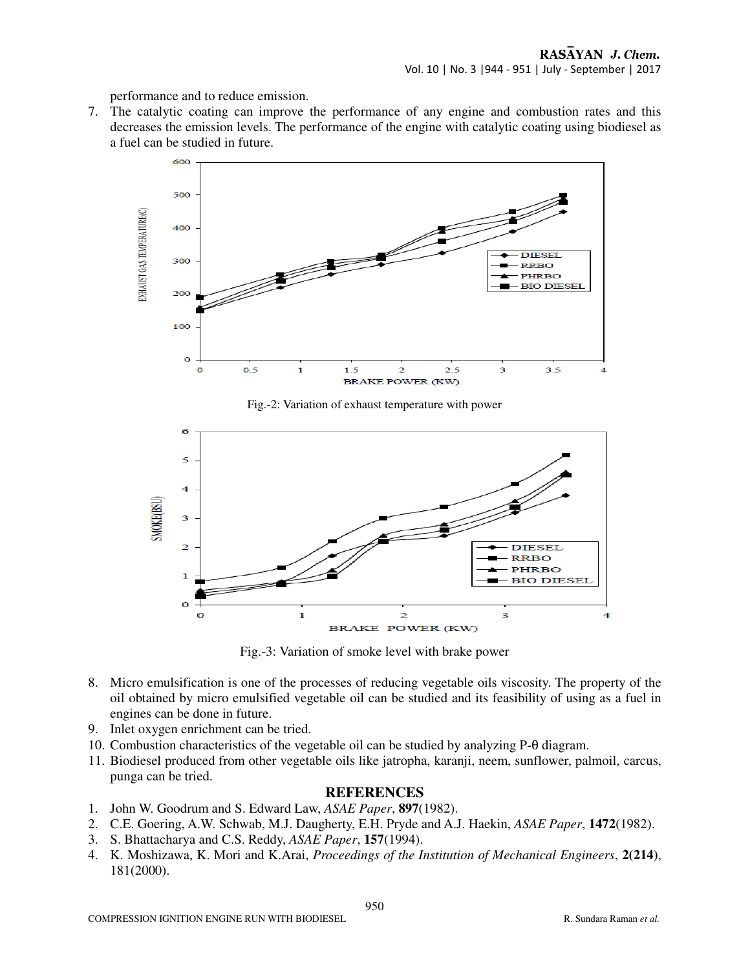performance and to reduce emission.

7. The catalytic coating can improve the performance of any engine and combustion rates and this decreases the emission levels. The performance of the engine with catalytic coating using biodiesel as a fuel can be studied in future.



Fig.-2: Variation of exhaust temperature with power



Fig.-3: Variation of smoke level with brake power

- 8. Micro emulsification is one of the processes of reducing vegetable oils viscosity. The property of the oil obtained by micro emulsified vegetable oil can be studied and its feasibility of using as a fuel in engines can be done in future.
- 9. Inlet oxygen enrichment can be tried.
- 10. Combustion characteristics of the vegetable oil can be studied by analyzing P-θ diagram.
- 11. Biodiesel produced from other vegetable oils like jatropha, karanji, neem, sunflower, palmoil, carcus, punga can be tried.

# **REFERENCES**

- 1. John W. Goodrum and S. Edward Law, *ASAE Paper*, **897**(1982).
- 2. C.E. Goering, A.W. Schwab, M.J. Daugherty, E.H. Pryde and A.J. Haekin, *ASAE Paper*, **1472**(1982).
- 3. S. Bhattacharya and C.S. Reddy, *ASAE Paper*, **157**(1994).
- 4. K. Moshizawa, K. Mori and K.Arai, *Proceedings of the Institution of Mechanical Engineers*, **2(214)**, 181(2000).